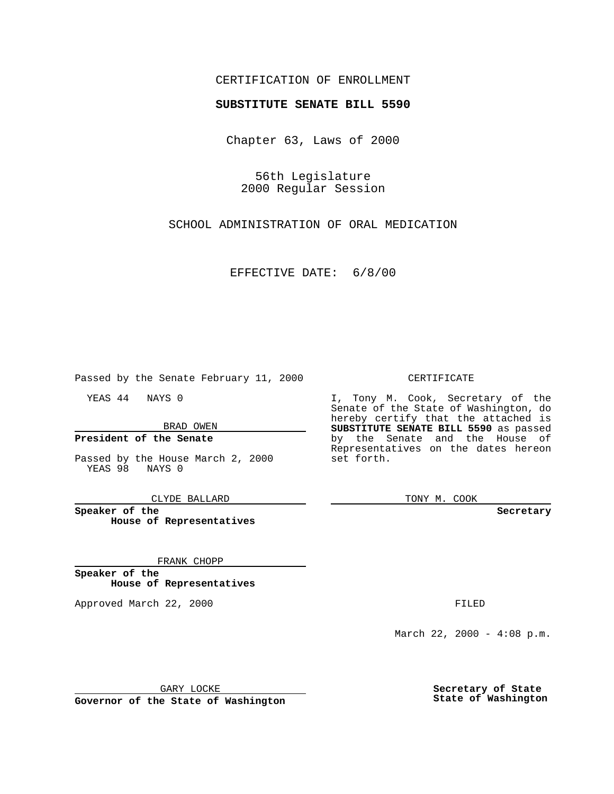## CERTIFICATION OF ENROLLMENT

# **SUBSTITUTE SENATE BILL 5590**

Chapter 63, Laws of 2000

56th Legislature 2000 Regular Session

SCHOOL ADMINISTRATION OF ORAL MEDICATION

EFFECTIVE DATE: 6/8/00

Passed by the Senate February 11, 2000

YEAS 44 NAYS 0

BRAD OWEN

### **President of the Senate**

Passed by the House March 2, 2000 YEAS 98 NAYS 0

CLYDE BALLARD

**Speaker of the House of Representatives**

#### FRANK CHOPP

**Speaker of the House of Representatives**

Approved March 22, 2000 FILED

#### CERTIFICATE

I, Tony M. Cook, Secretary of the Senate of the State of Washington, do hereby certify that the attached is **SUBSTITUTE SENATE BILL 5590** as passed by the Senate and the House of Representatives on the dates hereon set forth.

TONY M. COOK

**Secretary**

March 22, 2000 - 4:08 p.m.

GARY LOCKE

**Governor of the State of Washington**

**Secretary of State State of Washington**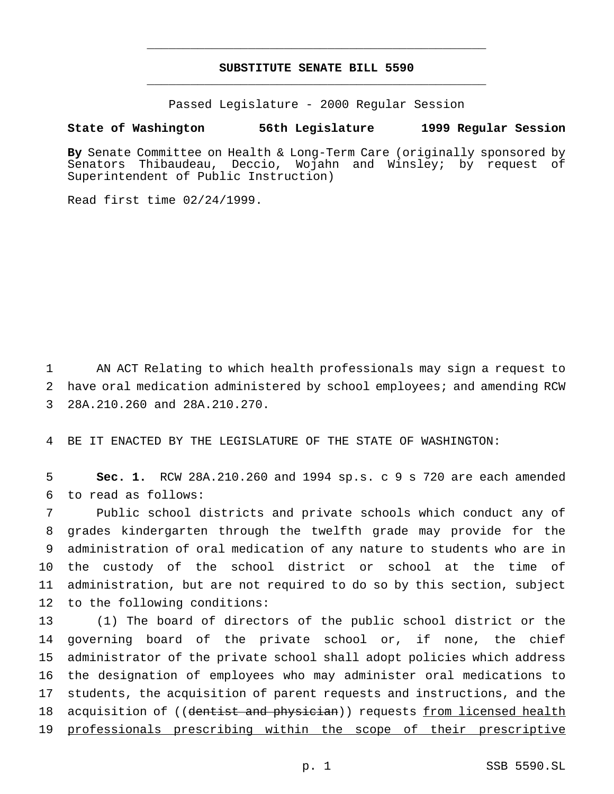## **SUBSTITUTE SENATE BILL 5590** \_\_\_\_\_\_\_\_\_\_\_\_\_\_\_\_\_\_\_\_\_\_\_\_\_\_\_\_\_\_\_\_\_\_\_\_\_\_\_\_\_\_\_\_\_\_\_

\_\_\_\_\_\_\_\_\_\_\_\_\_\_\_\_\_\_\_\_\_\_\_\_\_\_\_\_\_\_\_\_\_\_\_\_\_\_\_\_\_\_\_\_\_\_\_

Passed Legislature - 2000 Regular Session

### **State of Washington 56th Legislature 1999 Regular Session**

**By** Senate Committee on Health & Long-Term Care (originally sponsored by Senators Thibaudeau, Deccio, Wojahn and Winsley; by request of Superintendent of Public Instruction)

Read first time 02/24/1999.

 AN ACT Relating to which health professionals may sign a request to have oral medication administered by school employees; and amending RCW 28A.210.260 and 28A.210.270.

BE IT ENACTED BY THE LEGISLATURE OF THE STATE OF WASHINGTON:

 **Sec. 1.** RCW 28A.210.260 and 1994 sp.s. c 9 s 720 are each amended to read as follows:

 Public school districts and private schools which conduct any of grades kindergarten through the twelfth grade may provide for the administration of oral medication of any nature to students who are in the custody of the school district or school at the time of administration, but are not required to do so by this section, subject to the following conditions:

 (1) The board of directors of the public school district or the governing board of the private school or, if none, the chief administrator of the private school shall adopt policies which address the designation of employees who may administer oral medications to students, the acquisition of parent requests and instructions, and the 18 acquisition of ((dentist and physician)) requests from licensed health professionals prescribing within the scope of their prescriptive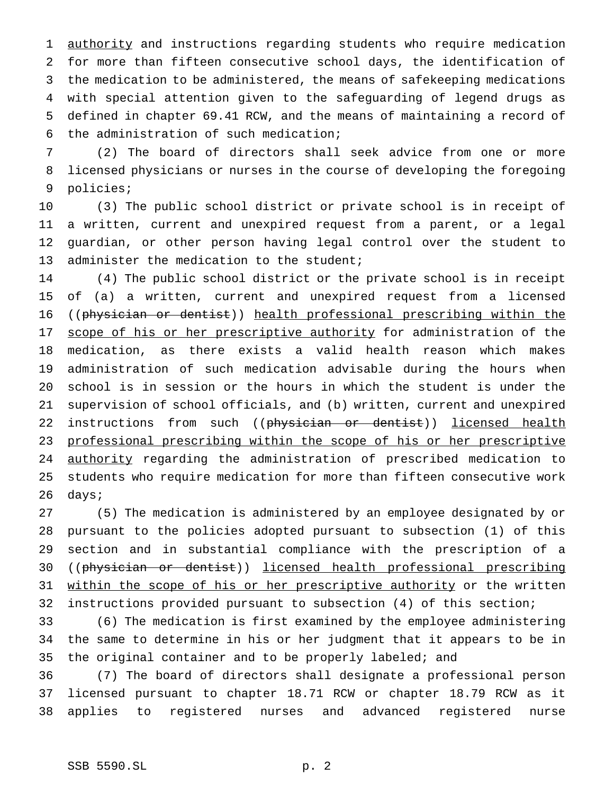authority and instructions regarding students who require medication for more than fifteen consecutive school days, the identification of the medication to be administered, the means of safekeeping medications with special attention given to the safeguarding of legend drugs as defined in chapter 69.41 RCW, and the means of maintaining a record of the administration of such medication;

 (2) The board of directors shall seek advice from one or more licensed physicians or nurses in the course of developing the foregoing policies;

 (3) The public school district or private school is in receipt of a written, current and unexpired request from a parent, or a legal guardian, or other person having legal control over the student to 13 administer the medication to the student;

 (4) The public school district or the private school is in receipt of (a) a written, current and unexpired request from a licensed ((physician or dentist)) health professional prescribing within the 17 scope of his or her prescriptive authority for administration of the medication, as there exists a valid health reason which makes administration of such medication advisable during the hours when school is in session or the hours in which the student is under the supervision of school officials, and (b) written, current and unexpired 22 instructions from such ((physician or dentist)) licensed health professional prescribing within the scope of his or her prescriptive 24 authority regarding the administration of prescribed medication to students who require medication for more than fifteen consecutive work days;

 (5) The medication is administered by an employee designated by or pursuant to the policies adopted pursuant to subsection (1) of this section and in substantial compliance with the prescription of a 30 ((physician or dentist)) licensed health professional prescribing 31 within the scope of his or her prescriptive authority or the written instructions provided pursuant to subsection (4) of this section;

 (6) The medication is first examined by the employee administering the same to determine in his or her judgment that it appears to be in the original container and to be properly labeled; and

 (7) The board of directors shall designate a professional person licensed pursuant to chapter 18.71 RCW or chapter 18.79 RCW as it applies to registered nurses and advanced registered nurse